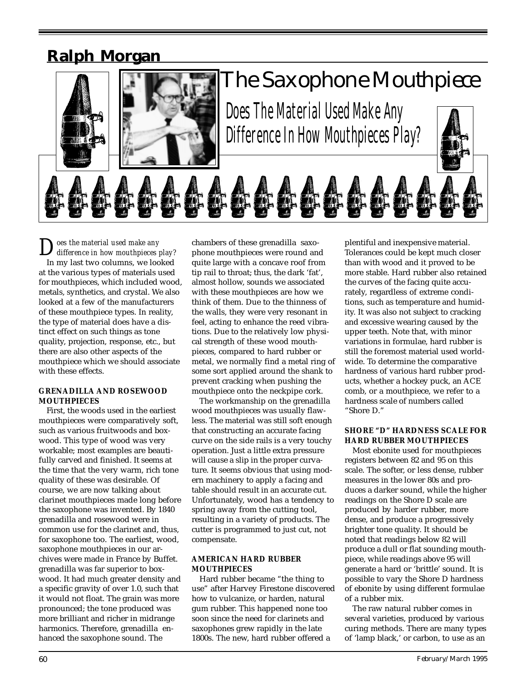# **Ralph Morgan**



# *The Saxophone Mouthpiece*

Does The Material Used Make Any Difference In How Muthpieces Play?



*Does the material used make any difference in how mouthpieces play?* In my last two columns, we looked at the various types of materials used for mouthpieces, which included wood, metals, synthetics, and crystal. We also looked at a few of the manufacturers of these mouthpiece types. In reality, the type of material does have a distinct effect on such things as tone quality, projection, response, etc., but there are also other aspects of the mouthpiece which we should associate with these effects.

#### **GRENADILLA AND ROSEWOOD MOUTHPIECES**

First, the woods used in the earliest mouthpieces were comparatively soft, such as various fruitwoods and boxwood. This type of wood was very workable; most examples are beautifully carved and finished. It seems at the time that the very warm, rich tone quality of these was desirable. Of course, we are now talking about clarinet mouthpieces made long before the saxophone was invented. By 1840 grenadilla and rosewood were in common use for the clarinet and, thus, for saxophone too. The earliest, wood, saxophone mouthpieces in our archives were made in France by Buffet. grenadilla was far superior to boxwood. It had much greater density and a specific gravity of over 1.0, such that it would not float. The grain was more pronounced; the tone produced was more brilliant and richer in midrange harmonics. Therefore, grenadilla enhanced the saxophone sound. The

chambers of these grenadilla saxophone mouthpieces were round and quite large with a concave roof from tip rail to throat; thus, the dark 'fat', almost hollow, sounds we associated with these mouthpieces are how we think of them. Due to the thinness of the walls, they were very resonant in feel, acting to enhance the reed vibrations. Due to the relatively low physical strength of these wood mouthpieces, compared to hard rubber or metal, we normally find a metal ring of some sort applied around the shank to prevent cracking when pushing the mouthpiece onto the neckpipe cork.

The workmanship on the grenadilla wood mouthpieces was usually flawless. The material was still soft enough that constructing an accurate facing curve on the side rails is a very touchy operation. Just a little extra pressure will cause a slip in the proper curvature. It seems obvious that using modern machinery to apply a facing and table should result in an accurate cut. Unfortunately, wood has a tendency to spring away from the cutting tool, resulting in a variety of products. The cutter is programmed to just cut, not compensate.

## **AMERICAN HARD RUBBER MOUTHPIECES**

Hard rubber became "the thing to use" after Harvey Firestone discovered how to vulcanize, or harden, natural gum rubber. This happened none too soon since the need for clarinets and saxophones grew rapidly in the late 1800s. The new, hard rubber offered a

plentiful and inexpensive material. Tolerances could be kept much closer than with wood and it proved to be more stable. Hard rubber also retained the curves of the facing quite accurately, regardless of extreme conditions, such as temperature and humidity. It was also not subject to cracking and excessive wearing caused by the upper teeth. Note that, with minor variations in formulae, hard rubber is still the foremost material used worldwide. To determine the comparative hardness of various hard rubber products, whether a hockey puck, an ACE comb, or a mouthpiece, we refer to a hardness scale of numbers called "Shore D."

## **SHORE "D" HARDNESS SCALE FOR HARD RUBBER MOUTHPIECES**

Most ebonite used for mouthpieces registers between 82 and 95 on this scale. The softer, or less dense, rubber measures in the lower 80s and produces a darker sound, while the higher readings on the Shore D scale are produced by harder rubber, more dense, and produce a progressively brighter tone quality. It should be noted that readings below 82 will produce a dull or flat sounding mouthpiece, while readings above 95 will generate a hard or 'brittle' sound. It is possible to vary the Shore D hardness of ebonite by using different formulae of a rubber mix.

The raw natural rubber comes in several varieties, produced by various curing methods. There are many types of 'lamp black,' or carbon, to use as an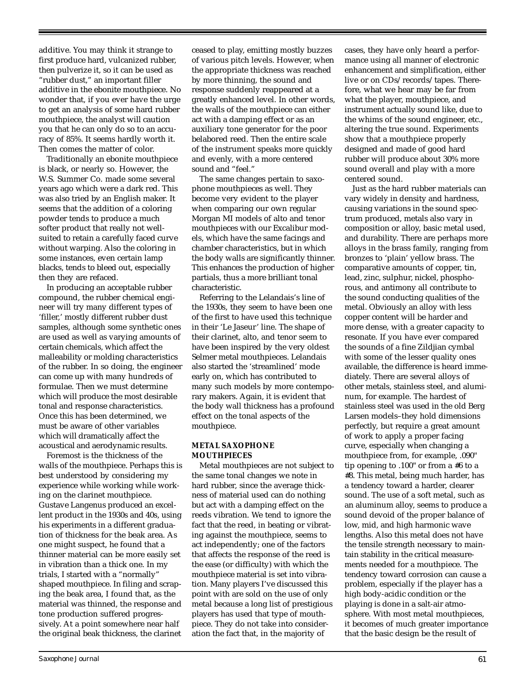additive. You may think it strange to first produce hard, vulcanized rubber, then pulverize it, so it can be used as "rubber dust," an important filler additive in the ebonite mouthpiece. No wonder that, if you ever have the urge to get an analysis of some hard rubber mouthpiece, the analyst will caution you that he can only do so to an accuracy of 85%. It seems hardly worth it. Then comes the matter of color.

Traditionally an ebonite mouthpiece is black, or nearly so. However, the W.S. Summer Co. made some several years ago which were a dark red. This was also tried by an English maker. It seems that the addition of a coloring powder tends to produce a much softer product that really not wellsuited to retain a carefully faced curve without warping. Also the coloring in some instances, even certain lamp blacks, tends to bleed out, especially then they are refaced.

In producing an acceptable rubber compound, the rubber chemical engineer will try many different types of 'filler,' mostly different rubber dust samples, although some synthetic ones are used as well as varying amounts of certain chemicals, which affect the malleability or molding characteristics of the rubber. In so doing, the engineer can come up with many hundreds of formulae. Then we must determine which will produce the most desirable tonal and response characteristics. Once this has been determined, we must be aware of other variables which will dramatically affect the acoustical and aerodynamic results.

Foremost is the thickness of the walls of the mouthpiece. Perhaps this is best understood by considering my experience while working while working on the clarinet mouthpiece. Gustave Langenus produced an excellent product in the 1930s and 40s, using his experiments in a different graduation of thickness for the beak area. As one might suspect, he found that a thinner material can be more easily set in vibration than a thick one. In my trials, I started with a "normally" shaped mouthpiece. In filing and scraping the beak area, I found that, as the material was thinned, the response and tone production suffered progressively. At a point somewhere near half the original beak thickness, the clarinet

ceased to play, emitting mostly buzzes of various pitch levels. However, when the appropriate thickness was reached by more thinning, the sound and response suddenly reappeared at a greatly enhanced level. In other words, the walls of the mouthpiece can either act with a damping effect or as an auxiliary tone generator for the poor belabored reed. Then the entire scale of the instrument speaks more quickly and evenly, with a more centered sound and "feel."

The same changes pertain to saxophone mouthpieces as well. They become very evident to the player when comparing our own regular Morgan MI models of alto and tenor mouthpieces with our Excalibur models, which have the same facings and chamber characteristics, but in which the body walls are significantly thinner. This enhances the production of higher partials, thus a more brilliant tonal characteristic.

Referring to the Lelandais's line of the 1930s, they seem to have been one of the first to have used this technique in their 'Le Jaseur' line. The shape of their clarinet, alto, and tenor seem to have been inspired by the very oldest Selmer metal mouthpieces. Lelandais also started the 'streamlined' mode early on, which has contributed to many such models by more contemporary makers. Again, it is evident that the body wall thickness has a profound effect on the tonal aspects of the mouthpiece.

#### **METAL SAXOPHONE MOUTHPIECES**

Metal mouthpieces are not subject to the same tonal changes we note in hard rubber, since the average thickness of material used can do nothing but act with a damping effect on the reeds vibration. We tend to ignore the fact that the reed, in beating or vibrating against the mouthpiece, seems to act independently; one of the factors that affects the response of the reed is the ease (or difficulty) with which the mouthpiece material is set into vibration. Many players I've discussed this point with are sold on the use of only metal because a long list of prestigious players has used that type of mouthpiece. They do not take into consideration the fact that, in the majority of

cases, they have only heard a performance using all manner of electronic enhancement and simplification, either live or on CDs/records/tapes. Therefore, what we hear may be far from what the player, mouthpiece, and instrument actually sound like, due to the whims of the sound engineer, etc., altering the true sound. Experiments show that a mouthpiece properly designed and made of good hard rubber will produce about 30% more sound overall and play with a more centered sound.

Just as the hard rubber materials can vary widely in density and hardness, causing variations in the sound spectrum produced, metals also vary in composition or alloy, basic metal used, and durability. There are perhaps more alloys in the brass family, ranging from bronzes to 'plain' yellow brass. The comparative amounts of copper, tin, lead, zinc, sulphur, nickel, phosphorous, and antimony all contribute to the sound conducting qualities of the metal. Obviously an alloy with less copper content will be harder and more dense, with a greater capacity to resonate. If you have ever compared the sounds of a fine Zildjian cymbal with some of the lesser quality ones available, the difference is heard immediately. There are several alloys of other metals, stainless steel, and aluminum, for example. The hardest of stainless steel was used in the old Berg Larsen models–they hold dimensions perfectly, but require a great amount of work to apply a proper facing curve, especially when changing a mouthpiece from, for example, .090" tip opening to .100" or from a #6 to a #8. This metal, being much harder, has a tendency toward a harder, clearer sound. The use of a soft metal, such as an aluminum alloy, seems to produce a sound devoid of the proper balance of low, mid, and high harmonic wave lengths. Also this metal does not have the tensile strength necessary to maintain stability in the critical measurements needed for a mouthpiece. The tendency toward corrosion can cause a problem, especially if the player has a high body-acidic condition or the playing is done in a salt-air atmosphere. With most metal mouthpieces, it becomes of much greater importance that the basic design be the result of